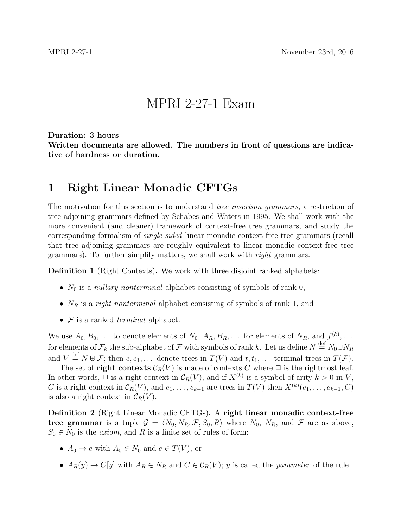## MPRI 2-27-1 Exam

Duration: 3 hours Written documents are allowed. The numbers in front of questions are indicative of hardness or duration.

## 1 Right Linear Monadic CFTGs

The motivation for this section is to understand tree insertion grammars, a restriction of tree adjoining grammars defined by Schabes and Waters in 1995. We shall work with the more convenient (and cleaner) framework of context-free tree grammars, and study the corresponding formalism of single-sided linear monadic context-free tree grammars (recall that tree adjoining grammars are roughly equivalent to linear monadic context-free tree grammars). To further simplify matters, we shall work with *right* grammars.

Definition 1 (Right Contexts). We work with three disjoint ranked alphabets:

- $N_0$  is a nullary nonterminal alphabet consisting of symbols of rank 0,
- $N_R$  is a *right nonterminal* alphabet consisting of symbols of rank 1, and
- $\mathcal F$  is a ranked *terminal* alphabet.

We use  $A_0, B_0, \ldots$  to denote elements of  $N_0, A_R, B_R, \ldots$  for elements of  $N_R$ , and  $f^{(k)}, \ldots$ for elements of  $\mathcal{F}_k$  the sub-alphabet of  $\mathcal F$  with symbols of rank  $k$ . Let us define  $N\stackrel{\rm def}{=}N_0\uplus N_R$ and  $V \stackrel{\text{def}}{=} N \oplus \mathcal{F}$ ; then  $e, e_1, \ldots$  denote trees in  $T(V)$  and  $t, t_1, \ldots$  terminal trees in  $T(\mathcal{F})$ .

The set of **right contexts**  $\mathcal{C}_R(V)$  is made of contexts C where  $\Box$  is the rightmost leaf. In other words,  $\Box$  is a right context in  $\mathcal{C}_R(V)$ , and if  $X^{(k)}$  is a symbol of arity  $k > 0$  in V, C is a right context in  $\mathcal{C}_R(V)$ , and  $e_1, \ldots, e_{k-1}$  are trees in  $T(V)$  then  $X^{(k)}(e_1, \ldots, e_{k-1}, C)$ is also a right context in  $\mathcal{C}_R(V)$ .

Definition 2 (Right Linear Monadic CFTGs). A right linear monadic context-free tree grammar is a tuple  $G = \langle N_0, N_R, \mathcal{F}, S_0, R \rangle$  where  $N_0, N_R$ , and  $\mathcal{F}$  are as above,  $S_0 \in N_0$  is the *axiom*, and R is a finite set of rules of form:

- $A_0 \to e$  with  $A_0 \in N_0$  and  $e \in T(V)$ , or
- $A_R(y) \to C[y]$  with  $A_R \in N_R$  and  $C \in C_R(V)$ ; y is called the parameter of the rule.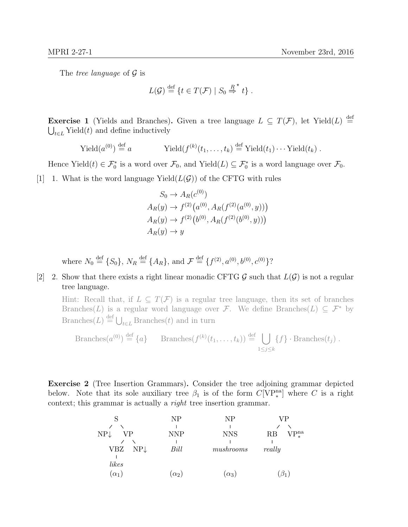The tree language of  $\mathcal G$  is

$$
L(\mathcal{G}) \stackrel{\text{def}}{=} \{t \in T(\mathcal{F}) \mid S_0 \stackrel{R}{\Rightarrow}^{\star} t\}.
$$

**Exercise 1** (Yields and Branches). Given a tree language  $L \subseteq T(\mathcal{F})$ , let Yield $(L) \stackrel{\text{def}}{=}$  $\bigcup_{t\in L}$  Yield(*t*) and define inductively

$$
\text{Yield}(a^{(0)}) \stackrel{\text{def}}{=} a \qquad \text{Yield}(f^{(k)}(t_1,\ldots,t_k) \stackrel{\text{def}}{=} \text{Yield}(t_1)\cdots \text{Yield}(t_k) .
$$

Hence Yield $(t) \in \mathcal{F}_0^*$  is a word over  $\mathcal{F}_0$ , and Yield $(L) \subseteq \mathcal{F}_0^*$  is a word language over  $\mathcal{F}_0$ .

[1] 1. What is the word language Yield $(L(\mathcal{G}))$  of the CFTG with rules

$$
S_0 \to A_R(c^{(0)})
$$
  
\n
$$
A_R(y) \to f^{(2)}(a^{(0)}, A_R(f^{(2)}(a^{(0)}, y)))
$$
  
\n
$$
A_R(y) \to f^{(2)}(b^{(0)}, A_R(f^{(2)}(b^{(0)}, y)))
$$
  
\n
$$
A_R(y) \to y
$$

where  $N_0 \stackrel{\text{def}}{=} \{S_0\}, N_R \stackrel{\text{def}}{=} \{A_R\}, \text{ and } \mathcal{F} \stackrel{\text{def}}{=} \{f^{(2)}, a^{(0)}, b^{(0)}, c^{(0)}\}$ ?

## [2] 2. Show that there exists a right linear monadic CFTG  $\mathcal G$  such that  $L(\mathcal G)$  is not a regular tree language.

Hint: Recall that, if  $L \subseteq T(\mathcal{F})$  is a regular tree language, then its set of branches Branches(L) is a regular word language over F. We define Branches(L)  $\subseteq$  F<sup>\*</sup> by Branches(L)  $\stackrel{\text{def}}{=} \bigcup_{t \in L}$  Branches(t) and in turn

Branches
$$
(a^{(0)}) \stackrel{\text{def}}{=} \{a\}
$$
 Branches $(f^{(k)}(t_1,\ldots,t_k)) \stackrel{\text{def}}{=} \bigcup_{1 \leq j \leq k} \{f\} \cdot Branches(t_j)$ .

Exercise 2 (Tree Insertion Grammars). Consider the tree adjoining grammar depicted below. Note that its sole auxiliary tree  $\beta_1$  is of the form  $C[\mathrm{VP}_*^{\mathrm{na}}]$  where C is a right context; this grammar is actually a right tree insertion grammar.

|                       | NΡ         | N <sub>P</sub> | VР                            |
|-----------------------|------------|----------------|-------------------------------|
|                       |            |                |                               |
| $NP\downarrow$<br>∕P  | <b>NNP</b> | <b>NNS</b>     | $P_*^{\rm na}$<br>$_{\rm RB}$ |
|                       |            |                |                               |
| $NP\downarrow$<br>VBZ | Bill       | mushrooms      | really                        |
| likes                 |            |                |                               |
| $\alpha_1$            | $\alpha_2$ | $\alpha_3$     |                               |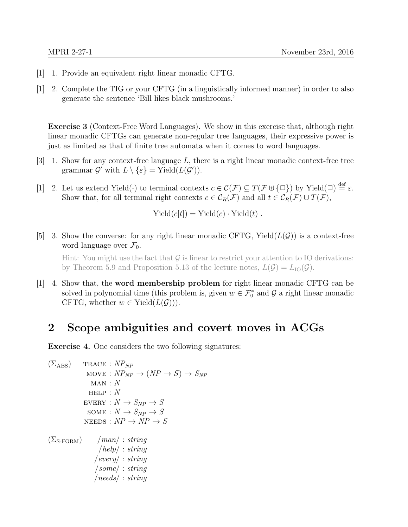- $[1]$  1. Provide an equivalent right linear monadic CFTG.
- [1] 2. Complete the TIG or your CFTG (in a linguistically informed manner) in order to also generate the sentence 'Bill likes black mushrooms.'

Exercise 3 (Context-Free Word Languages). We show in this exercise that, although right linear monadic CFTGs can generate non-regular tree languages, their expressive power is just as limited as that of finite tree automata when it comes to word languages.

- [3] 1. Show for any context-free language  $L$ , there is a right linear monadic context-free tree grammar  $\mathcal{G}'$  with  $L \setminus \{\varepsilon\} = \text{Yield}(L(\mathcal{G}')).$
- [1] 2. Let us extend Yield( $\cdot$ ) to terminal contexts  $c \in \mathcal{C}(\mathcal{F}) \subseteq T(\mathcal{F} \cup \{\Box\})$  by Yield $(\Box) \stackrel{\text{def}}{=} \varepsilon$ . Show that, for all terminal right contexts  $c \in \mathcal{C}_R(\mathcal{F})$  and all  $t \in \mathcal{C}_R(\mathcal{F}) \cup T(\mathcal{F})$ ,

$$
Yield(c[t]) = Yield(c) \cdot Yield(t) .
$$

[5] 3. Show the converse: for any right linear monadic CFTG, Yield $(L(\mathcal{G}))$  is a context-free word language over  $\mathcal{F}_0$ .

Hint: You might use the fact that  $\mathcal G$  is linear to restrict your attention to IO derivations: by Theorem 5.9 and Proposition 5.13 of the lecture notes,  $L(\mathcal{G}) = L_{\text{IO}}(\mathcal{G})$ .

 $[1]$  4. Show that, the **word membership problem** for right linear monadic CFTG can be solved in polynomial time (this problem is, given  $w \in \mathcal{F}_0^*$  and  $\mathcal G$  a right linear monadic CFTG, whether  $w \in \text{Yield}(L(\mathcal{G})))$ .

## 2 Scope ambiguities and covert moves in ACGs

Exercise 4. One considers the two following signatures:

```
(\Sigma_{\rm ABS}) TRACE : NP_{NP}\text{MOVE}: NP_{NP} \rightarrow (NP \rightarrow S) \rightarrow S_{NP}MAN: NHELP : N\textsc{every}: N \to S_{\textrm{NP}} \to SSOME : N \rightarrow S_{NP} \rightarrow SNEEDS: NP \rightarrow NP \rightarrow S(\Sigma_{\text{S-FORM}}) /man/ : string
        /help/ : string
       /every/ : string
       /some/ : string
       /needs/ : string
```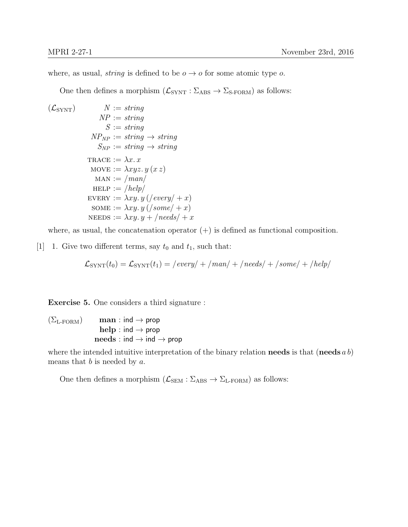where, as usual, *string* is defined to be  $o \rightarrow o$  for some atomic type o.

One then defines a morphism  $(\mathcal{L}_{\text{SYNT}} : \Sigma_{\text{ABS}} \to \Sigma_{\text{S-FORM}})$  as follows:

$$
(L_{\text{SYNT}}) \qquad N := string
$$
\n
$$
NP := string
$$
\n
$$
S := string
$$
\n
$$
NP_{NP} := string \rightarrow string
$$
\n
$$
S_{NP} := string \rightarrow string
$$
\n
$$
\text{TRACE} := \lambda x. x
$$
\n
$$
\text{MOVE} := \lambda xy. y \quad (x z)
$$
\n
$$
\text{MAN} := /man /
$$
\n
$$
\text{HELP} := /help /
$$
\n
$$
\text{EVERY} := \lambda xy. y \quad ((\text{every}/ + x)
$$
\n
$$
\text{SOME} := \lambda xy. y \quad ((\text{some}/ + x)
$$
\n
$$
\text{NEEDS} := \lambda xy. y + /needs / +x
$$

where, as usual, the concatenation operator  $(+)$  is defined as functional composition.

[1] 1. Give two different terms, say  $t_0$  and  $t_1$ , such that:

$$
\mathcal{L}_{\text{SYNT}}(t_0) = \mathcal{L}_{\text{SYNT}}(t_1) = / \text{every} / + / \text{man} / + / \text{needs} / + / \text{some} / + / \text{help} /
$$

Exercise 5. One considers a third signature :

 $(\Sigma_{\text{L-FORM}})$  man : ind  $\rightarrow$  prop  $help: ind \rightarrow prop$  $\mathbf{needs} : \mathsf{ind} \to \mathsf{ind} \to \mathsf{prop}$ 

where the intended intuitive interpretation of the binary relation **needs** is that (**needs** a b) means that  $b$  is needed by  $a$ .

One then defines a morphism  $(\mathcal{L}_{SEM} : \Sigma_{ABS} \to \Sigma_{L\text{-FORM}})$  as follows: